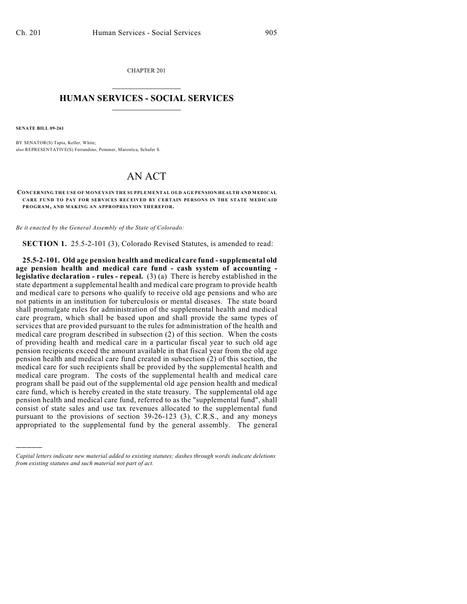CHAPTER 201  $\overline{\phantom{a}}$  . The set of the set of the set of the set of the set of the set of the set of the set of the set of the set of the set of the set of the set of the set of the set of the set of the set of the set of the set o

## **HUMAN SERVICES - SOCIAL SERVICES**  $\frac{1}{2}$  ,  $\frac{1}{2}$  ,  $\frac{1}{2}$  ,  $\frac{1}{2}$  ,  $\frac{1}{2}$  ,  $\frac{1}{2}$  ,  $\frac{1}{2}$

**SENATE BILL 09-261**

)))))

BY SENATOR(S) Tapia, Keller, White; also REPRESENTATIVE(S) Ferrandino, Pommer, Marostica, Schafer S.

## AN ACT

**CONCERNING THE USE OF MONEYS IN THE SUPPLEMENTAL OLD AGE PENSION HEALTH AND MEDICAL CARE FUND TO PAY FOR SERVICES RECEIVED BY CERTAIN PERSONS IN THE STATE MEDICAID PROGRAM, AND MAKING AN APPROPRIATION THEREFOR.**

*Be it enacted by the General Assembly of the State of Colorado:*

**SECTION 1.** 25.5-2-101 (3), Colorado Revised Statutes, is amended to read:

**25.5-2-101. Old age pension health and medical care fund - supplemental old age pension health and medical care fund - cash system of accounting legislative declaration - rules - repeal.** (3) (a) There is hereby established in the state department a supplemental health and medical care program to provide health and medical care to persons who qualify to receive old age pensions and who are not patients in an institution for tuberculosis or mental diseases. The state board shall promulgate rules for administration of the supplemental health and medical care program, which shall be based upon and shall provide the same types of services that are provided pursuant to the rules for administration of the health and medical care program described in subsection (2) of this section. When the costs of providing health and medical care in a particular fiscal year to such old age pension recipients exceed the amount available in that fiscal year from the old age pension health and medical care fund created in subsection (2) of this section, the medical care for such recipients shall be provided by the supplemental health and medical care program. The costs of the supplemental health and medical care program shall be paid out of the supplemental old age pension health and medical care fund, which is hereby created in the state treasury. The supplemental old age pension health and medical care fund, referred to as the "supplemental fund", shall consist of state sales and use tax revenues allocated to the supplemental fund pursuant to the provisions of section 39-26-123 (3), C.R.S., and any moneys appropriated to the supplemental fund by the general assembly. The general

*Capital letters indicate new material added to existing statutes; dashes through words indicate deletions from existing statutes and such material not part of act.*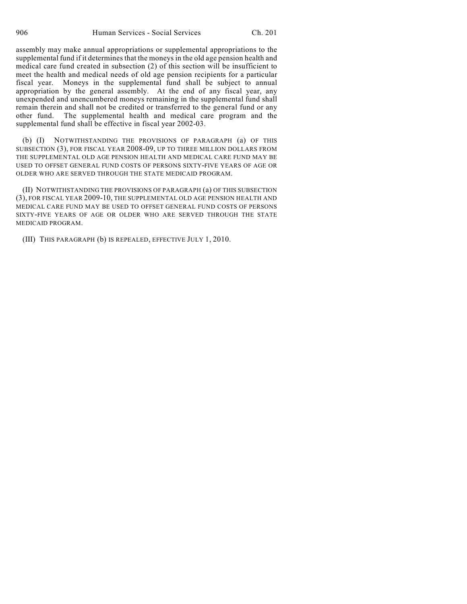assembly may make annual appropriations or supplemental appropriations to the supplemental fund if it determines that the moneys in the old age pension health and medical care fund created in subsection (2) of this section will be insufficient to meet the health and medical needs of old age pension recipients for a particular fiscal year. Moneys in the supplemental fund shall be subject to annual appropriation by the general assembly. At the end of any fiscal year, any unexpended and unencumbered moneys remaining in the supplemental fund shall remain therein and shall not be credited or transferred to the general fund or any other fund. The supplemental health and medical care program and the supplemental fund shall be effective in fiscal year 2002-03.

(b) (I) NOTWITHSTANDING THE PROVISIONS OF PARAGRAPH (a) OF THIS SUBSECTION (3), FOR FISCAL YEAR 2008-09, UP TO THREE MILLION DOLLARS FROM THE SUPPLEMENTAL OLD AGE PENSION HEALTH AND MEDICAL CARE FUND MAY BE USED TO OFFSET GENERAL FUND COSTS OF PERSONS SIXTY-FIVE YEARS OF AGE OR OLDER WHO ARE SERVED THROUGH THE STATE MEDICAID PROGRAM.

(II) NOTWITHSTANDING THE PROVISIONS OF PARAGRAPH (a) OF THIS SUBSECTION (3), FOR FISCAL YEAR 2009-10, THE SUPPLEMENTAL OLD AGE PENSION HEALTH AND MEDICAL CARE FUND MAY BE USED TO OFFSET GENERAL FUND COSTS OF PERSONS SIXTY-FIVE YEARS OF AGE OR OLDER WHO ARE SERVED THROUGH THE STATE MEDICAID PROGRAM.

(III) THIS PARAGRAPH (b) IS REPEALED, EFFECTIVE JULY 1, 2010.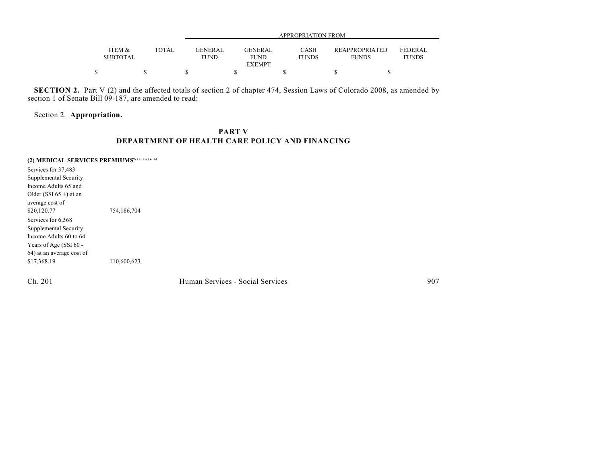|                           |              |                               | APPROPRIATION FROM     |                      |                                       |                                |  |  |  |
|---------------------------|--------------|-------------------------------|------------------------|----------------------|---------------------------------------|--------------------------------|--|--|--|
| ITEM &<br><b>SUBTOTAL</b> | <b>TOTAL</b> | <b>GENERAL</b><br><b>FUND</b> | GENERAL<br><b>FUND</b> | CASH<br><b>FUNDS</b> | <b>REAPPROPRIATED</b><br><b>FUNDS</b> | <b>FEDERAL</b><br><b>FUNDS</b> |  |  |  |
|                           |              |                               | <b>EXEMPT</b>          |                      |                                       |                                |  |  |  |
|                           |              |                               |                        |                      |                                       |                                |  |  |  |

**SECTION 2.** Part V (2) and the affected totals of section 2 of chapter 474, Session Laws of Colorado 2008, as amended by section 1 of Senate Bill 09-187, are amended to read:

Section 2. **Appropriation.**

## **PART V DEPARTMENT OF HEALTH CARE POLICY AND FINANCING**

**(2) MEDICAL SERVICES PREMIUMS9, 10, 11, 12, 13**

Services for 37,483 Supplemental Security Income Adults 65 and Older (SSI  $65 +$ ) at an average cost of \$20,120.77 754,186,704 Services for 6,368 Supplemental Security Income Adults 60 to 64 Years of Age (SSI 60 -64) at an average cost of \$17,368.19 110,600,623

Ch. 201 Human Services - Social Services 907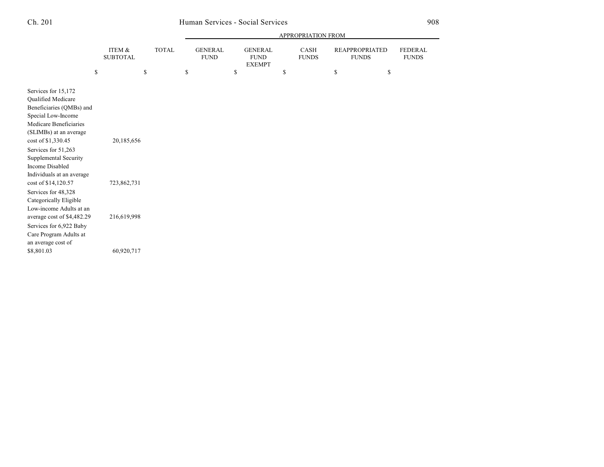|                                                                                                                                                                                                     |                           |              |                               |                                                | APPROPRIATION FROM          |                                       |                         |
|-----------------------------------------------------------------------------------------------------------------------------------------------------------------------------------------------------|---------------------------|--------------|-------------------------------|------------------------------------------------|-----------------------------|---------------------------------------|-------------------------|
|                                                                                                                                                                                                     | ITEM &<br><b>SUBTOTAL</b> | <b>TOTAL</b> | <b>GENERAL</b><br><b>FUND</b> | <b>GENERAL</b><br><b>FUND</b><br><b>EXEMPT</b> | <b>CASH</b><br><b>FUNDS</b> | <b>REAPPROPRIATED</b><br><b>FUNDS</b> | FEDERAL<br><b>FUNDS</b> |
|                                                                                                                                                                                                     | \$                        | \$           | \$                            | \$                                             | \$                          | \$<br>\$                              |                         |
| Services for 15,172<br><b>Oualified Medicare</b><br>Beneficiaries (QMBs) and<br>Special Low-Income<br>Medicare Beneficiaries<br>(SLIMBs) at an average<br>cost of \$1,330.45<br>Services for 51,263 | 20,185,656                |              |                               |                                                |                             |                                       |                         |
| Supplemental Security<br><b>Income Disabled</b><br>Individuals at an average<br>cost of \$14,120.57                                                                                                 | 723,862,731               |              |                               |                                                |                             |                                       |                         |
| Services for 48,328<br>Categorically Eligible<br>Low-income Adults at an<br>average cost of \$4,482.29                                                                                              | 216,619,998               |              |                               |                                                |                             |                                       |                         |
| Services for 6,922 Baby<br>Care Program Adults at<br>an average cost of                                                                                                                             |                           |              |                               |                                                |                             |                                       |                         |
| \$8,801.03                                                                                                                                                                                          | 60,920,717                |              |                               |                                                |                             |                                       |                         |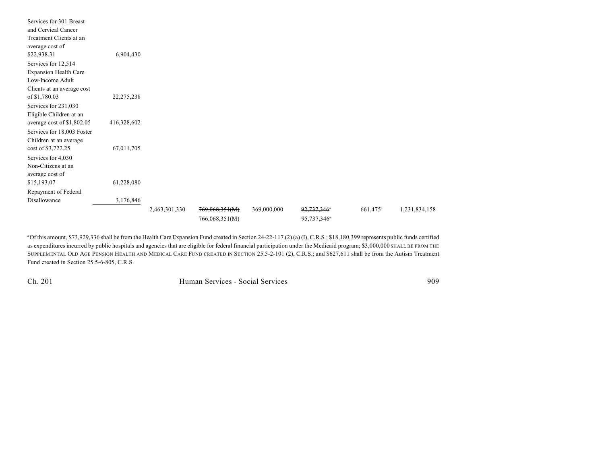| Services for 301 Breast      |             |               |                |             |                         |                        |               |
|------------------------------|-------------|---------------|----------------|-------------|-------------------------|------------------------|---------------|
| and Cervical Cancer          |             |               |                |             |                         |                        |               |
| Treatment Clients at an      |             |               |                |             |                         |                        |               |
| average cost of              |             |               |                |             |                         |                        |               |
| \$22,938.31                  | 6,904,430   |               |                |             |                         |                        |               |
| Services for 12,514          |             |               |                |             |                         |                        |               |
| <b>Expansion Health Care</b> |             |               |                |             |                         |                        |               |
| Low-Income Adult             |             |               |                |             |                         |                        |               |
| Clients at an average cost   |             |               |                |             |                         |                        |               |
| of \$1,780.03                | 22,275,238  |               |                |             |                         |                        |               |
| Services for 231,030         |             |               |                |             |                         |                        |               |
| Eligible Children at an      |             |               |                |             |                         |                        |               |
| average cost of \$1,802.05   | 416,328,602 |               |                |             |                         |                        |               |
| Services for 18,003 Foster   |             |               |                |             |                         |                        |               |
| Children at an average       |             |               |                |             |                         |                        |               |
| cost of \$3,722.25           | 67,011,705  |               |                |             |                         |                        |               |
| Services for 4,030           |             |               |                |             |                         |                        |               |
| Non-Citizens at an           |             |               |                |             |                         |                        |               |
| average cost of              |             |               |                |             |                         |                        |               |
| \$15,193.07                  | 61,228,080  |               |                |             |                         |                        |               |
| Repayment of Federal         |             |               |                |             |                         |                        |               |
| Disallowance                 | 3,176,846   |               |                |             |                         |                        |               |
|                              |             | 2,463,301,330 | 769,068,351(M) | 369,000,000 | 92,737,346*             | $661,475$ <sup>b</sup> | 1,231,834,158 |
|                              |             |               | 766,068,351(M) |             | 95,737,346 <sup>a</sup> |                        |               |

Of this amount, \$73,929,336 shall be from the Health Care Expansion Fund created in Section 24-22-117 (2) (a) (I), C.R.S.; \$18,180,399 represents public funds certified <sup>a</sup> as expenditures incurred by public hospitals and agencies that are eligible for federal financial participation under the Medicaid program; \$3,000,000 SHALL BE FROM THE SUPPLEMENTAL OLD AGE PENSION HEALTH AND MEDICAL CARE FUND CREATED IN SECTION 25.5-2-101 (2), C.R.S.; and \$627,611 shall be from the Autism Treatment Fund created in Section 25.5-6-805, C.R.S.

Ch. 201 Human Services - Social Services 909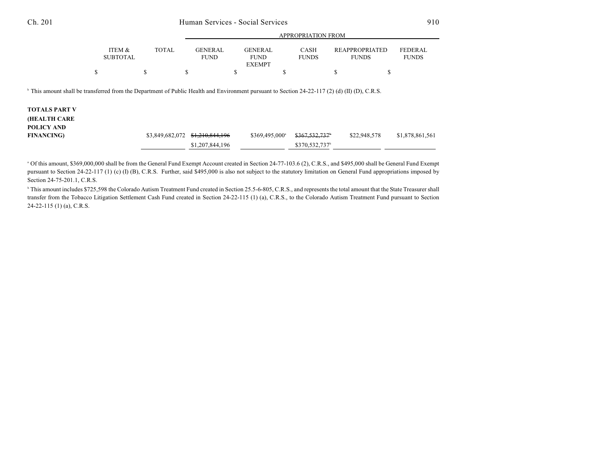|                                                                                                                                                                                   |                           |                 | <b>APPROPRIATION FROM</b>     |                                                |                             |                                       |                                |  |
|-----------------------------------------------------------------------------------------------------------------------------------------------------------------------------------|---------------------------|-----------------|-------------------------------|------------------------------------------------|-----------------------------|---------------------------------------|--------------------------------|--|
|                                                                                                                                                                                   | ITEM &<br><b>SUBTOTAL</b> | <b>TOTAL</b>    | <b>GENERAL</b><br><b>FUND</b> | <b>GENERAL</b><br><b>FUND</b><br><b>EXEMPT</b> | CASH<br><b>FUNDS</b>        | <b>REAPPROPRIATED</b><br><b>FUNDS</b> | <b>FEDERAL</b><br><b>FUNDS</b> |  |
| \$                                                                                                                                                                                | S                         | S               |                               | \$<br>S                                        |                             | ъ                                     | \$                             |  |
| <sup>b</sup> This amount shall be transferred from the Department of Public Health and Environment pursuant to Section 24-22-117 (2) (d) (II) (D), C.R.S.<br><b>TOTALS PART V</b> |                           |                 |                               |                                                |                             |                                       |                                |  |
| <b>(HEALTH CARE</b><br>POLICY AND<br><b>FINANCING</b> )                                                                                                                           |                           | \$3,849,682,072 | \$1,210,844,196               | \$369,495,000 <sup>a</sup>                     | $$367,532,737$ <sup>6</sup> | \$22,948,578                          | \$1,878,861,561                |  |
|                                                                                                                                                                                   |                           |                 | \$1,207,844,196               |                                                | \$370,532,737 <sup>b</sup>  |                                       |                                |  |

 $^{\circ}$  Of this amount, \$369,000,000 shall be from the General Fund Exempt Account created in Section 24-77-103.6 (2), C.R.S., and \$495,000 shall be General Fund Exempt pursuant to Section 24-22-117 (1) (c) (I) (B), C.R.S. Further, said \$495,000 is also not subject to the statutory limitation on General Fund appropriations imposed by Section 24-75-201.1, C.R.S.

<sup>b</sup> This amount includes \$725,598 the Colorado Autism Treatment Fund created in Section 25.5-6-805, C.R.S., and represents the total amount that the State Treasurer shall transfer from the Tobacco Litigation Settlement Cash Fund created in Section 24-22-115 (1) (a), C.R.S., to the Colorado Autism Treatment Fund pursuant to Section 24-22-115 (1) (a), C.R.S.